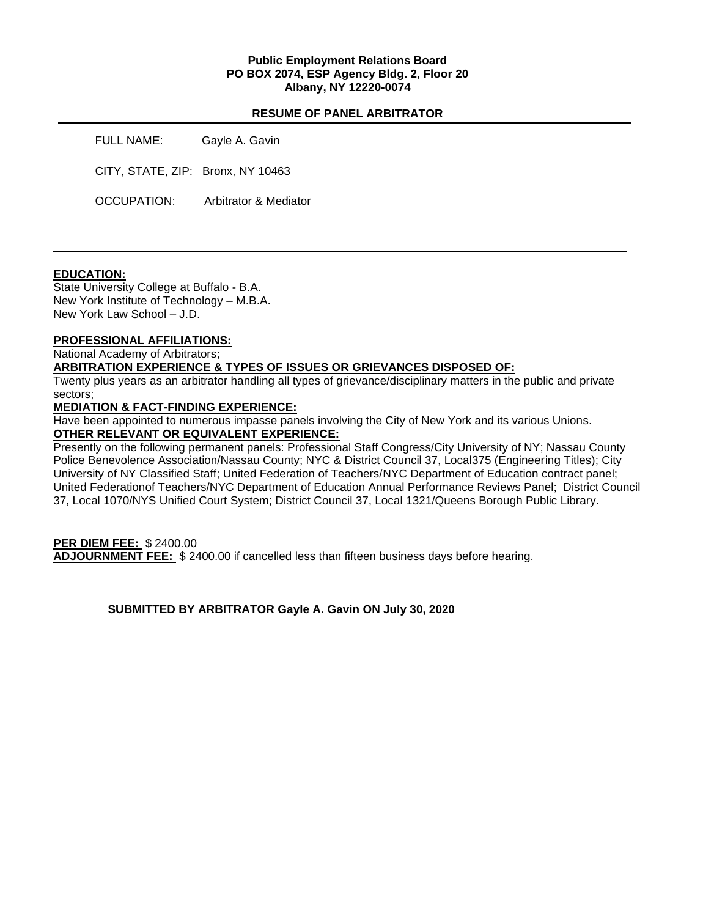### **Public Employment Relations Board PO BOX 2074, ESP Agency Bldg. 2, Floor 20 Albany, NY 12220-0074**

### **RESUME OF PANEL ARBITRATOR**

| FULL NAME:                        | Gayle A. Gavin        |
|-----------------------------------|-----------------------|
| CITY, STATE, ZIP: Bronx, NY 10463 |                       |
| OCCUPATION:                       | Arbitrator & Mediator |

#### **EDUCATION:**

State University College at Buffalo - B.A. New York Institute of Technology – M.B.A. New York Law School – J.D.

# **PROFESSIONAL AFFILIATIONS:**

National Academy of Arbitrators;

#### **ARBITRATION EXPERIENCE & TYPES OF ISSUES OR GRIEVANCES DISPOSED OF:**

Twenty plus years as an arbitrator handling all types of grievance/disciplinary matters in the public and private sectors;

#### **MEDIATION & FACT-FINDING EXPERIENCE:**

Have been appointed to numerous impasse panels involving the City of New York and its various Unions. **OTHER RELEVANT OR EQUIVALENT EXPERIENCE:** 

Presently on the following permanent panels: Professional Staff Congress/City University of NY; Nassau County Police Benevolence Association/Nassau County; NYC & District Council 37, Local375 (Engineering Titles); City University of NY Classified Staff; United Federation of Teachers/NYC Department of Education contract panel; United Federationof Teachers/NYC Department of Education Annual Performance Reviews Panel; District Council 37, Local 1070/NYS Unified Court System; District Council 37, Local 1321/Queens Borough Public Library.

## **PER DIEM FEE:** \$ 2400.00

**ADJOURNMENT FEE:** \$ 2400.00 if cancelled less than fifteen business days before hearing.

**SUBMITTED BY ARBITRATOR Gayle A. Gavin ON July 30, 2020**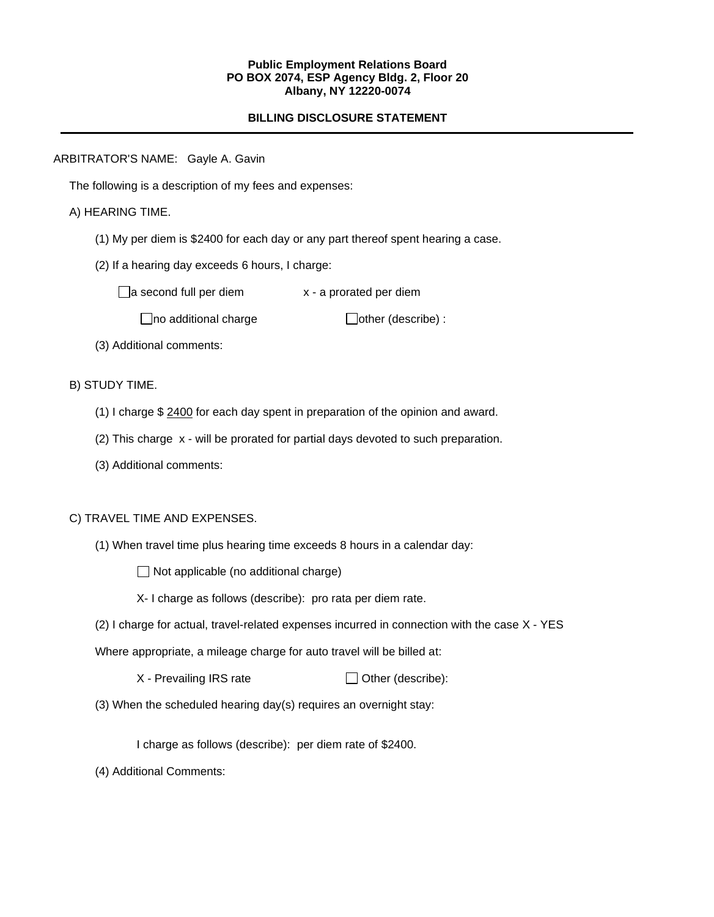#### **Public Employment Relations Board PO BOX 2074, ESP Agency Bldg. 2, Floor 20 Albany, NY 12220-0074**

## **BILLING DISCLOSURE STATEMENT**

ARBITRATOR'S NAME: Gayle A. Gavin

The following is a description of my fees and expenses:

## A) HEARING TIME.

- (1) My per diem is \$2400 for each day or any part thereof spent hearing a case.
- (2) If a hearing day exceeds 6 hours, I charge:

 $\Box$ a second full per diem  $x - a$  prorated per diem

 $\Box$ no additional charge  $\Box$ other (describe) :

(3) Additional comments:

B) STUDY TIME.

- (1) I charge \$ 2400 for each day spent in preparation of the opinion and award.
- (2) This charge x will be prorated for partial days devoted to such preparation.
- (3) Additional comments:

### C) TRAVEL TIME AND EXPENSES.

(1) When travel time plus hearing time exceeds 8 hours in a calendar day:

 $\Box$  Not applicable (no additional charge)

- X- I charge as follows (describe): pro rata per diem rate.
- (2) I charge for actual, travel-related expenses incurred in connection with the case X YES

Where appropriate, a mileage charge for auto travel will be billed at:

 $X$  - Prevailing IRS rate  $\Box$  Other (describe):

(3) When the scheduled hearing day(s) requires an overnight stay:

I charge as follows (describe): per diem rate of \$2400.

(4) Additional Comments: